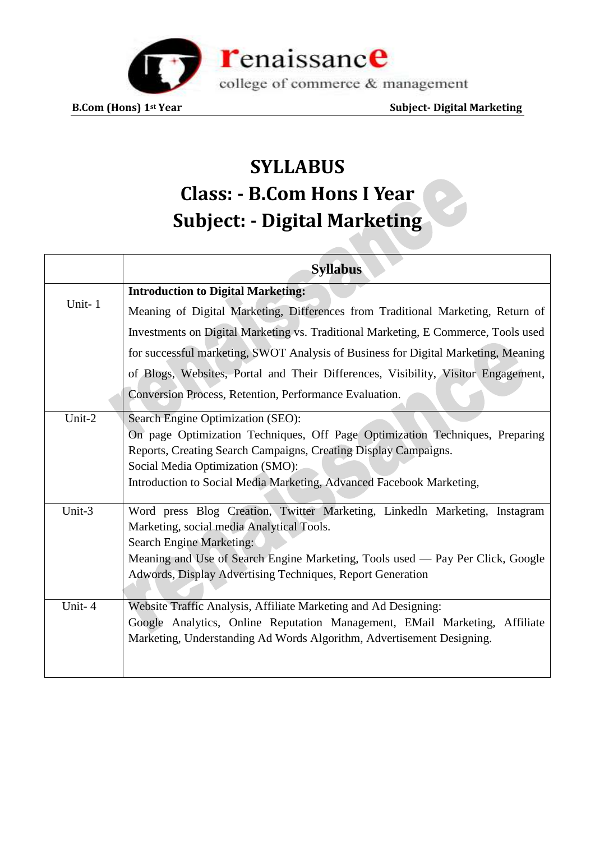

# **SYLLABUS Class: - B.Com Hons I Year Subject: - Digital Marketing**

|        | <b>Syllabus</b>                                                                    |
|--------|------------------------------------------------------------------------------------|
| Unit-1 | <b>Introduction to Digital Marketing:</b>                                          |
|        | Meaning of Digital Marketing, Differences from Traditional Marketing, Return of    |
|        | Investments on Digital Marketing vs. Traditional Marketing, E Commerce, Tools used |
|        | for successful marketing, SWOT Analysis of Business for Digital Marketing, Meaning |
|        | of Blogs, Websites, Portal and Their Differences, Visibility, Visitor Engagement,  |
|        | Conversion Process, Retention, Performance Evaluation.                             |
| Unit-2 | Search Engine Optimization (SEO):                                                  |
|        | On page Optimization Techniques, Off Page Optimization Techniques, Preparing       |
|        | Reports, Creating Search Campaigns, Creating Display Campaigns.                    |
|        | Social Media Optimization (SMO):                                                   |
|        | Introduction to Social Media Marketing, Advanced Facebook Marketing,               |
| Unit-3 | Word press Blog Creation, Twitter Marketing, Linkedln Marketing, Instagram         |
|        | Marketing, social media Analytical Tools.                                          |
|        | Search Engine Marketing:                                                           |
|        | Meaning and Use of Search Engine Marketing, Tools used — Pay Per Click, Google     |
|        | Adwords, Display Advertising Techniques, Report Generation                         |
| Unit-4 | Website Traffic Analysis, Affiliate Marketing and Ad Designing:                    |
|        | Google Analytics, Online Reputation Management, EMail Marketing, Affiliate         |
|        | Marketing, Understanding Ad Words Algorithm, Advertisement Designing.              |
|        |                                                                                    |
|        |                                                                                    |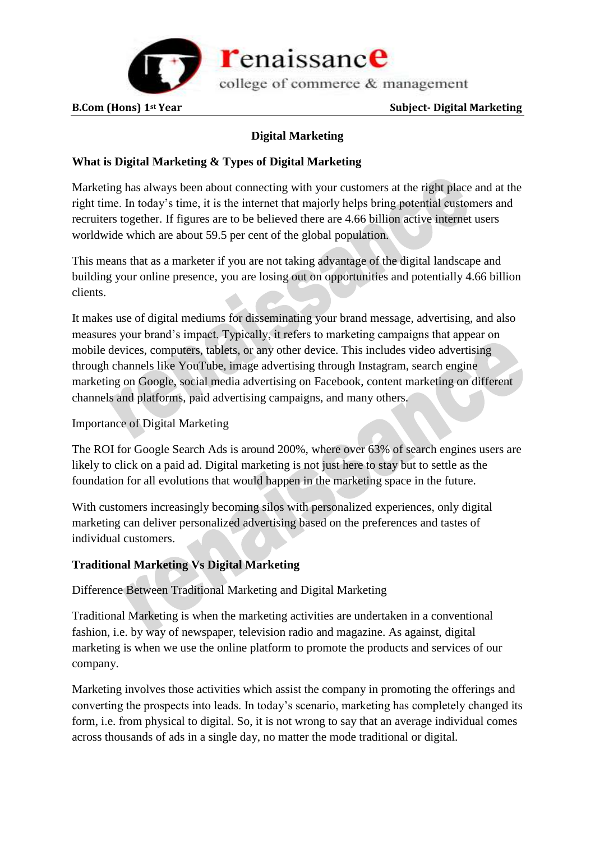

# **Digital Marketing**

# **What is Digital Marketing & Types of Digital Marketing**

Marketing has always been about connecting with your customers at the right place and at the right time. In today's time, it is the internet that majorly helps bring potential customers and recruiters together. If figures are to be believed there are 4.66 billion active internet users worldwide which are about 59.5 per cent of the global population.

This means that as a marketer if you are not taking advantage of the digital landscape and building your online presence, you are losing out on opportunities and potentially 4.66 billion clients.

It makes use of digital mediums for disseminating your brand message, advertising, and also measures your brand's impact. Typically, it refers to marketing campaigns that appear on mobile devices, computers, tablets, or any other device. This includes video advertising through channels like YouTube, image advertising through Instagram, search engine marketing on Google, social media advertising on Facebook, content marketing on different channels and platforms, paid advertising campaigns, and many others.

### Importance of Digital Marketing

The ROI for Google Search Ads is around 200%, where over 63% of search engines users are likely to click on a paid ad. Digital marketing is not just here to stay but to settle as the foundation for all evolutions that would happen in the marketing space in the future.

With customers increasingly becoming silos with personalized experiences, only digital marketing can deliver personalized advertising based on the preferences and tastes of individual customers.

# **Traditional Marketing Vs Digital Marketing**

Difference Between Traditional Marketing and Digital Marketing

Traditional Marketing is when the marketing activities are undertaken in a conventional fashion, i.e. by way of newspaper, television radio and magazine. As against, digital marketing is when we use the online platform to promote the products and services of our company.

Marketing involves those activities which assist the company in promoting the offerings and converting the prospects into leads. In today's scenario, marketing has completely changed its form, i.e. from physical to digital. So, it is not wrong to say that an average individual comes across thousands of ads in a single day, no matter the mode traditional or digital.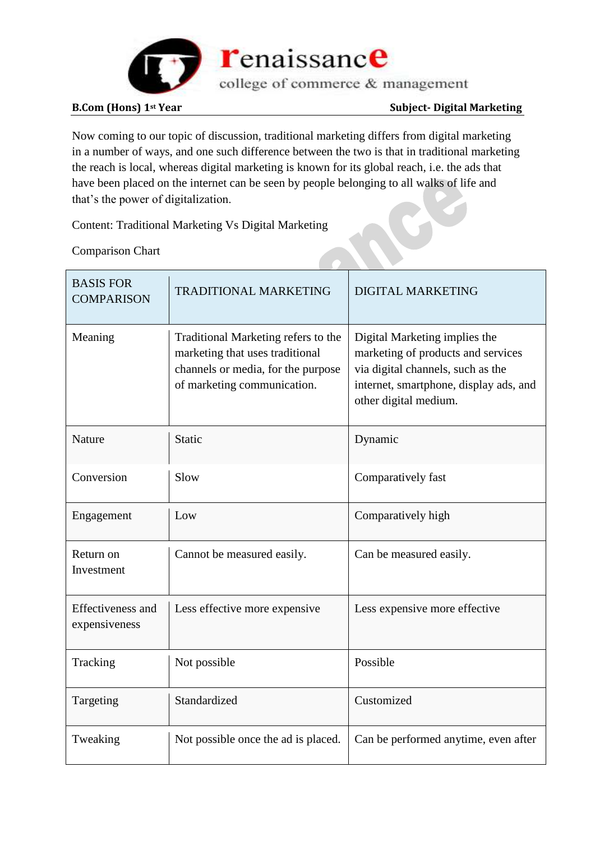

Now coming to our topic of discussion, traditional marketing differs from digital marketing in a number of ways, and one such difference between the two is that in traditional marketing the reach is local, whereas digital marketing is known for its global reach, i.e. the ads that have been placed on the internet can be seen by people belonging to all walks of life and that's the power of digitalization. P

Content: Traditional Marketing Vs Digital Marketing

Comparison Chart

| <b>BASIS FOR</b><br><b>COMPARISON</b>     | <b>TRADITIONAL MARKETING</b>                                                                                                                | <b>DIGITAL MARKETING</b>                                                                                                                                                    |
|-------------------------------------------|---------------------------------------------------------------------------------------------------------------------------------------------|-----------------------------------------------------------------------------------------------------------------------------------------------------------------------------|
| Meaning                                   | Traditional Marketing refers to the<br>marketing that uses traditional<br>channels or media, for the purpose<br>of marketing communication. | Digital Marketing implies the<br>marketing of products and services<br>via digital channels, such as the<br>internet, smartphone, display ads, and<br>other digital medium. |
| Nature                                    | Static                                                                                                                                      | Dynamic                                                                                                                                                                     |
| Conversion                                | Slow                                                                                                                                        | Comparatively fast                                                                                                                                                          |
| Engagement                                | Low                                                                                                                                         | Comparatively high                                                                                                                                                          |
| Return on<br>Investment                   | Cannot be measured easily.                                                                                                                  | Can be measured easily.                                                                                                                                                     |
| <b>Effectiveness and</b><br>expensiveness | Less effective more expensive                                                                                                               | Less expensive more effective                                                                                                                                               |
| Tracking                                  | Not possible                                                                                                                                | Possible                                                                                                                                                                    |
| Targeting                                 | Standardized                                                                                                                                | Customized                                                                                                                                                                  |
| Tweaking                                  | Not possible once the ad is placed.                                                                                                         | Can be performed anytime, even after                                                                                                                                        |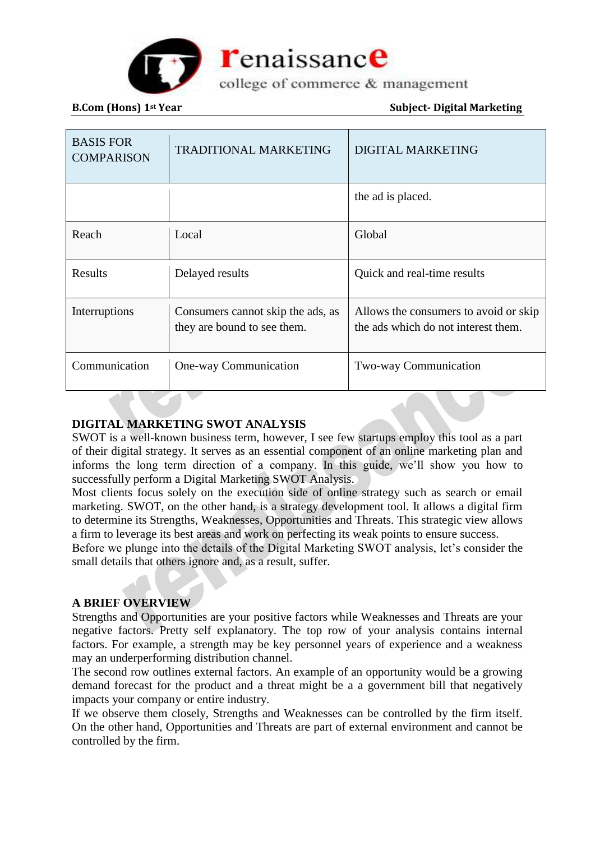

college of commerce & management

**B.Com** (Hons) 1<sup>st</sup> Year Subject-Digital Marketing

| <b>BASIS FOR</b><br><b>COMPARISON</b> | <b>TRADITIONAL MARKETING</b>                                     | <b>DIGITAL MARKETING</b>                                                     |
|---------------------------------------|------------------------------------------------------------------|------------------------------------------------------------------------------|
|                                       |                                                                  | the ad is placed.                                                            |
| Reach                                 | Local                                                            | Global                                                                       |
| Results                               | Delayed results                                                  | Quick and real-time results                                                  |
| Interruptions                         | Consumers cannot skip the ads, as<br>they are bound to see them. | Allows the consumers to avoid or skip<br>the ads which do not interest them. |
| Communication                         | One-way Communication                                            | <b>Two-way Communication</b>                                                 |

### **DIGITAL MARKETING SWOT ANALYSIS**

SWOT is a well-known business term, however, I see few startups employ this tool as a part of their digital strategy. It serves as an essential component of an online marketing plan and informs the long term direction of a company. In this guide, we'll show you how to successfully perform a Digital Marketing SWOT Analysis.

Most clients focus solely on the execution side of online strategy such as search or email marketing. SWOT, on the other hand, is a strategy development tool. It allows a digital firm to determine its Strengths, Weaknesses, Opportunities and Threats. This strategic view allows a firm to leverage its best areas and work on perfecting its weak points to ensure success.

Before we plunge into the details of the Digital Marketing SWOT analysis, let's consider the small details that others ignore and, as a result, suffer.

### **A BRIEF OVERVIEW**

Strengths and Opportunities are your positive factors while Weaknesses and Threats are your negative factors. Pretty self explanatory. The top row of your analysis contains internal factors. For example, a strength may be key personnel years of experience and a weakness may an underperforming distribution channel.

The second row outlines external factors. An example of an opportunity would be a growing demand forecast for the product and a threat might be a a government bill that negatively impacts your company or entire industry.

If we observe them closely, Strengths and Weaknesses can be controlled by the firm itself. On the other hand, Opportunities and Threats are part of external environment and cannot be controlled by the firm.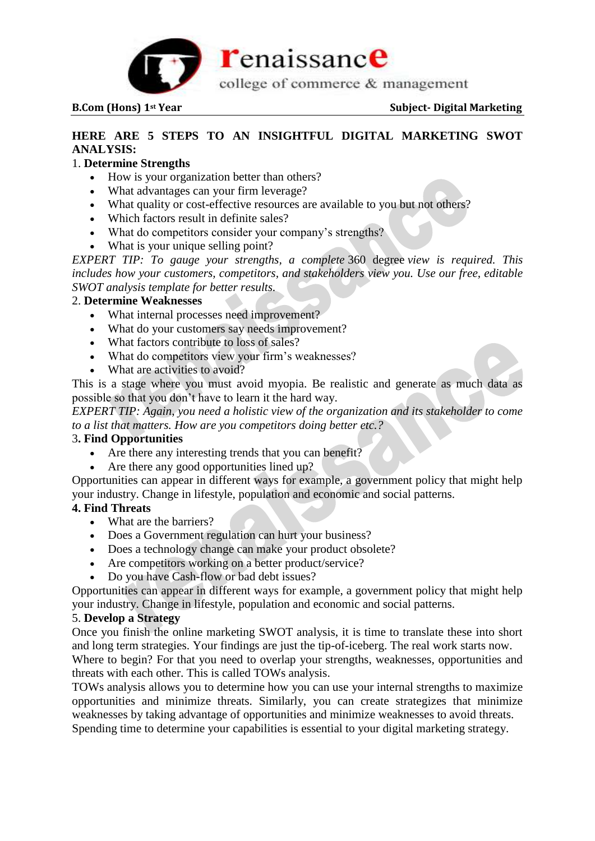

# **HERE ARE 5 STEPS TO AN INSIGHTFUL DIGITAL MARKETING SWOT ANALYSIS:**

### 1. **Determine Strengths**

- How is your organization better than others?
- What advantages can your firm leverage?
- What quality or cost-effective resources are available to you but not others?
- Which factors result in definite sales?
- What do competitors consider your company's strengths?
- What is your unique selling point?

*EXPERT TIP: To gauge your strengths, a complete* 360 degree *view is required. This includes how your customers, competitors, and stakeholders view you. Use our free, editable SWOT analysis template for better results.*

#### 2. **Determine Weaknesses**

- What internal processes need improvement?
- What do your customers say needs improvement?
- What factors contribute to loss of sales?
- What do competitors view your firm's weaknesses?
- What are activities to avoid?

This is a stage where you must avoid myopia. Be realistic and generate as much data as possible so that you don't have to learn it the hard way.

*EXPERT TIP: Again, you need a holistic view of the organization and its stakeholder to come to a list that matters. How are you competitors doing better etc.?*

#### 3**. Find Opportunities**

- Are there any interesting trends that you can benefit?
- Are there any good opportunities lined up?

Opportunities can appear in different ways for example, a government policy that might help your industry. Change in lifestyle, population and economic and social patterns.

#### **4. Find Threats**

- What are the barriers?
- Does a Government regulation can hurt your business?
- Does a technology change can make your product obsolete?
- Are competitors working on a better product/service?
- Do you have Cash-flow or bad debt issues?

Opportunities can appear in different ways for example, a government policy that might help your industry. Change in lifestyle, population and economic and social patterns.

#### 5. **Develop a Strategy**

Once you finish the online marketing SWOT analysis, it is time to translate these into short and long term strategies. Your findings are just the tip-of-iceberg. The real work starts now. Where to begin? For that you need to overlap your strengths, weaknesses, opportunities and threats with each other. This is called TOWs analysis.

TOWs analysis allows you to determine how you can use your internal strengths to maximize opportunities and minimize threats. Similarly, you can create strategizes that minimize weaknesses by taking advantage of opportunities and minimize weaknesses to avoid threats. Spending time to determine your capabilities is essential to your digital marketing strategy.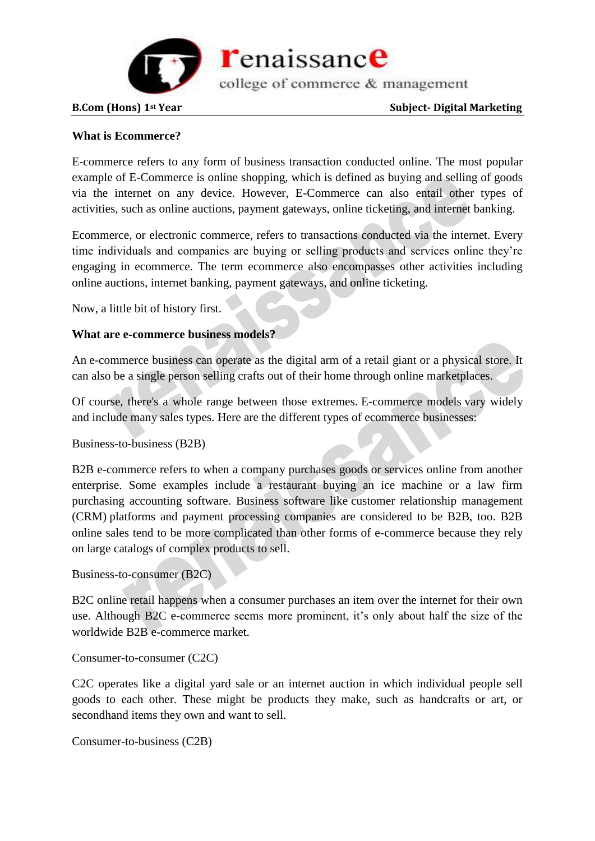

college of commerce & management

#### **B.Com** (Hons) 1<sup>st</sup> Year Subject-Digital Marketing

#### **What is Ecommerce?**

E-commerce refers to any form of business transaction conducted online. The most popular example of E-Commerce is online shopping, which is defined as buying and selling of goods via the internet on any device. However, E-Commerce can also entail other types of activities, such as online auctions, payment gateways, online ticketing, and internet banking.

Ecommerce, or electronic commerce, refers to transactions conducted via the internet. Every time individuals and companies are buying or selling products and services online they're engaging in ecommerce. The term ecommerce also encompasses other activities including online auctions, internet banking, payment gateways, and online ticketing.

Now, a little bit of history first.

#### **What are e-commerce business models?**

An e-commerce business can operate as the digital arm of a retail giant or a physical store. It can also be a single person selling crafts out of their home through online marketplaces.

Of course, there's a whole range between those extremes. E-commerce models vary widely and include many sales types. Here are the different types of ecommerce businesses:

Business-to-business (B2B)

B2B e-commerce refers to when a company purchases goods or services online from another enterprise. Some examples include a restaurant buying an ice machine or a law firm purchasing accounting software. Business software like customer relationship management (CRM) platforms and payment processing companies are considered to be B2B, too. B2B online sales tend to be more complicated than other forms of e-commerce because they rely on large catalogs of complex products to sell.

### Business-to-consumer (B2C)

B2C online retail happens when a consumer purchases an item over the internet for their own use. Although B2C e-commerce seems more prominent, it's only about half the size of the worldwide B2B e-commerce market.

#### Consumer-to-consumer (C2C)

C2C operates like a digital yard sale or an internet auction in which individual people sell goods to each other. These might be products they make, such as handcrafts or art, or secondhand items they own and want to sell.

Consumer-to-business (C2B)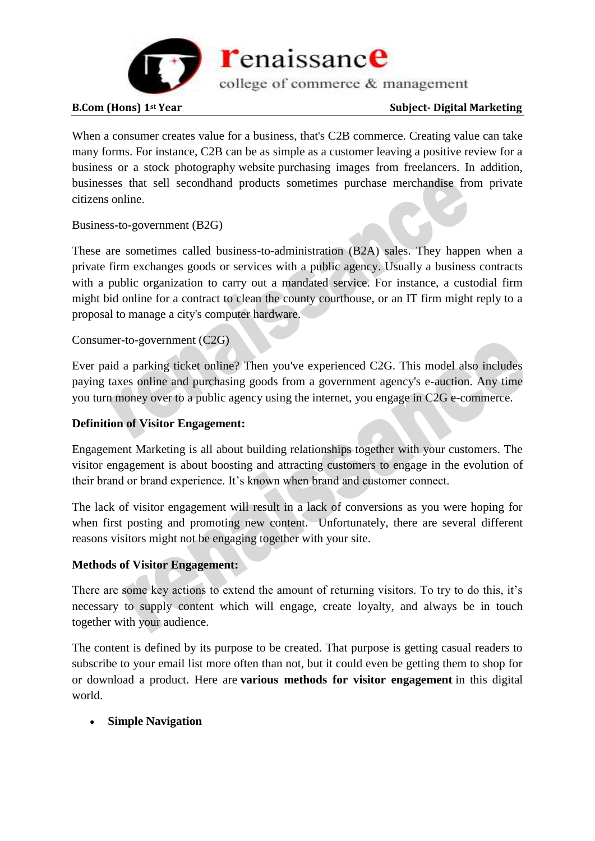

When a consumer creates value for a business, that's C2B commerce. Creating value can take many forms. For instance, C2B can be as simple as a customer leaving a positive review for a business or a stock photography website purchasing images from freelancers. In addition, businesses that sell secondhand products sometimes purchase merchandise from private citizens online.

### Business-to-government (B2G)

These are sometimes called business-to-administration (B2A) sales. They happen when a private firm exchanges goods or services with a public agency. Usually a business contracts with a public organization to carry out a mandated service. For instance, a custodial firm might bid online for a contract to clean the county courthouse, or an IT firm might reply to a proposal to manage a city's computer hardware.

Consumer-to-government (C2G)

Ever paid a parking ticket online? Then you've experienced C2G. This model also includes paying taxes online and purchasing goods from a government agency's e-auction. Any time you turn money over to a public agency using the internet, you engage in C2G e-commerce.

## **Definition of Visitor Engagement:**

Engagement Marketing is all about building relationships together with your customers. The visitor engagement is about boosting and attracting customers to engage in the evolution of their brand or brand experience. It's known when brand and customer connect.

The lack of visitor engagement will result in a lack of conversions as you were hoping for when first posting and promoting new content. Unfortunately, there are several different reasons visitors might not be engaging together with your site.

### **Methods of Visitor Engagement:**

There are some key actions to extend the amount of returning visitors. To try to do this, it's necessary to supply content which will engage, create loyalty, and always be in touch together with your audience.

The content is defined by its purpose to be created. That purpose is getting casual readers to subscribe to your email list more often than not, but it could even be getting them to shop for or download a product. Here are **various methods for visitor engagement** in this digital world.

### **Simple Navigation**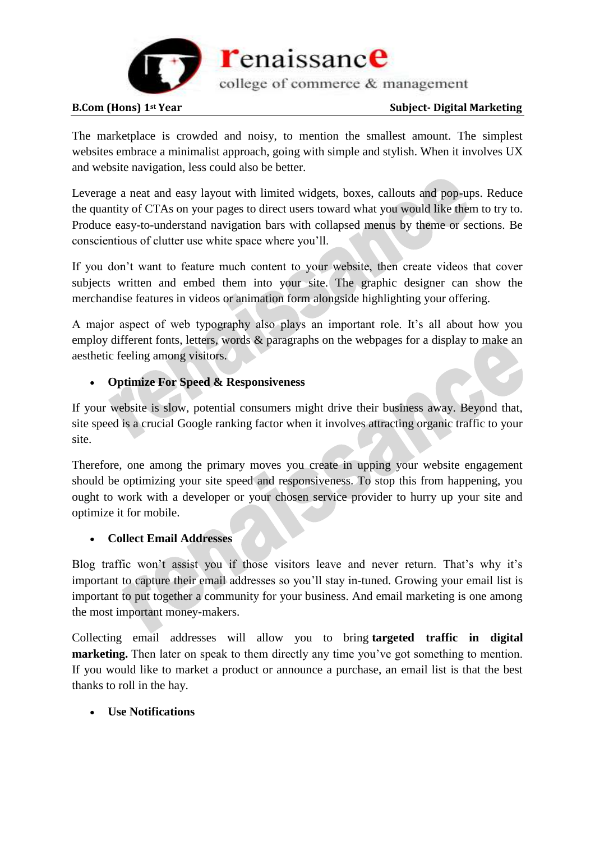

college of commerce & management

#### **B.Com** (Hons) 1<sup>st</sup> Year Subject-Digital Marketing

The marketplace is crowded and noisy, to mention the smallest amount. The simplest websites embrace a minimalist approach, going with simple and stylish. When it involves UX and website navigation, less could also be better.

Leverage a neat and easy layout with limited widgets, boxes, callouts and pop-ups. Reduce the quantity of CTAs on your pages to direct users toward what you would like them to try to. Produce easy-to-understand navigation bars with collapsed menus by theme or sections. Be conscientious of clutter use white space where you'll.

If you don't want to feature much content to your website, then create videos that cover subjects written and embed them into your site. The graphic designer can show the merchandise features in videos or animation form alongside highlighting your offering.

A major aspect of web typography also plays an important role. It's all about how you employ different fonts, letters, words & paragraphs on the webpages for a display to make an aesthetic feeling among visitors.

# **Optimize For Speed & Responsiveness**

If your website is slow, potential consumers might drive their business away. Beyond that, site speed is a crucial Google ranking factor when it involves attracting organic traffic to your site.

Therefore, one among the primary moves you create in upping your website engagement should be optimizing your site speed and responsiveness. To stop this from happening, you ought to work with a developer or your chosen service provider to hurry up your site and optimize it for mobile.

### **Collect Email Addresses**

Blog traffic won't assist you if those visitors leave and never return. That's why it's important to capture their email addresses so you'll stay in-tuned. Growing your email list is important to put together a community for your business. And email marketing is one among the most important money-makers.

Collecting email addresses will allow you to bring **targeted traffic in digital marketing.** Then later on speak to them directly any time you've got something to mention. If you would like to market a product or announce a purchase, an email list is that the best thanks to roll in the hay.

### **Use Notifications**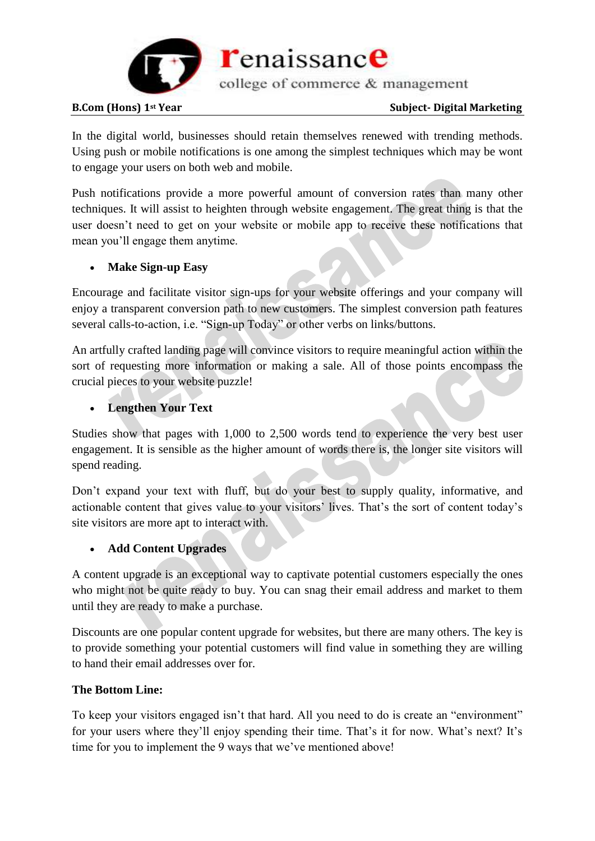

college of commerce & management

#### **B.Com** (Hons) 1<sup>st</sup> Year Subject-Digital Marketing

In the digital world, businesses should retain themselves renewed with trending methods. Using push or mobile notifications is one among the simplest techniques which may be wont to engage your users on both web and mobile.

Push notifications provide a more powerful amount of conversion rates than many other techniques. It will assist to heighten through website engagement. The great thing is that the user doesn't need to get on your website or mobile app to receive these notifications that mean you'll engage them anytime.

# **Make Sign-up Easy**

Encourage and facilitate visitor sign-ups for your website offerings and your company will enjoy a transparent conversion path to new customers. The simplest conversion path features several calls-to-action, i.e. "Sign-up Today" or other verbs on links/buttons.

An artfully crafted landing page will convince visitors to require meaningful action within the sort of requesting more information or making a sale. All of those points encompass the crucial pieces to your website puzzle!

# **Lengthen Your Text**

Studies show that pages with 1,000 to 2,500 words tend to experience the very best user engagement. It is sensible as the higher amount of words there is, the longer site visitors will spend reading.

Don't expand your text with fluff, but do your best to supply quality, informative, and actionable content that gives value to your visitors' lives. That's the sort of content today's site visitors are more apt to interact with.

# **Add Content Upgrades**

A content upgrade is an exceptional way to captivate potential customers especially the ones who might not be quite ready to buy. You can snag their email address and market to them until they are ready to make a purchase.

Discounts are one popular content upgrade for websites, but there are many others. The key is to provide something your potential customers will find value in something they are willing to hand their email addresses over for.

# **The Bottom Line:**

To keep your visitors engaged isn't that hard. All you need to do is create an "environment" for your users where they'll enjoy spending their time. That's it for now. What's next? It's time for you to implement the 9 ways that we've mentioned above!